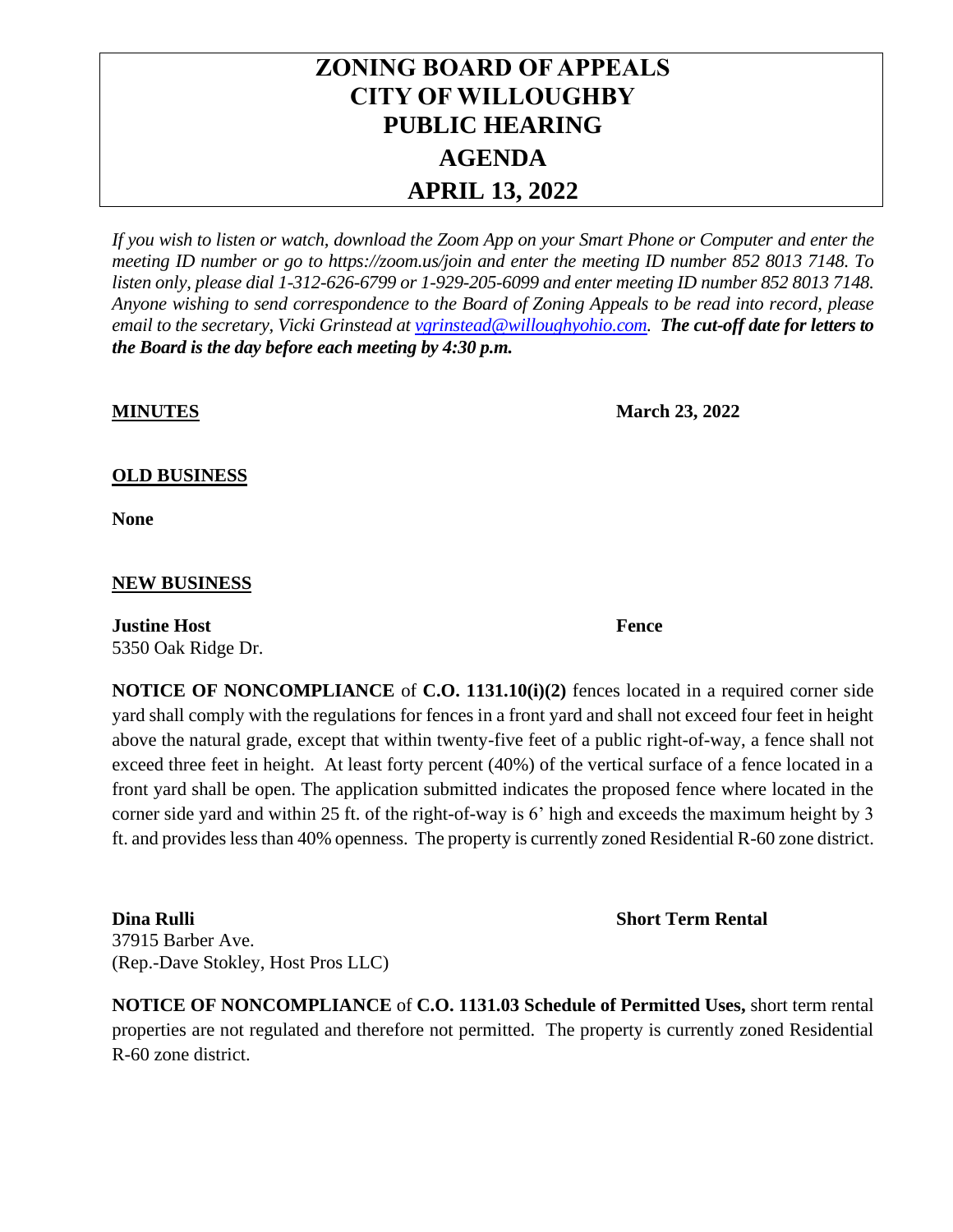# **ZONING BOARD OF APPEALS CITY OF WILLOUGHBY PUBLIC HEARING AGENDA APRIL 13, 2022**

*If you wish to listen or watch, download the Zoom App on your Smart Phone or Computer and enter the meeting ID number or go to https://zoom.us/join and enter the meeting ID number 852 8013 7148. To listen only, please dial 1-312-626-6799 or 1-929-205-6099 and enter meeting ID number 852 8013 7148. Anyone wishing to send correspondence to the Board of Zoning Appeals to be read into record, please email to the secretary, Vicki Grinstead a[t vgrinstead@willoughyohio.com.](mailto:vgrinstead@willoughyohio.com) The cut-off date for letters to the Board is the day before each meeting by 4:30 p.m.* 

**MINUTES March 23, 2022** 

## **OLD BUSINESS**

**None**

### **NEW BUSINESS**

**Justine Host Fence** 5350 Oak Ridge Dr.

**NOTICE OF NONCOMPLIANCE** of **C.O. 1131.10(i)(2)** fences located in a required corner side yard shall comply with the regulations for fences in a front yard and shall not exceed four feet in height above the natural grade, except that within twenty-five feet of a public right-of-way, a fence shall not exceed three feet in height. At least forty percent (40%) of the vertical surface of a fence located in a front yard shall be open. The application submitted indicates the proposed fence where located in the corner side yard and within 25 ft. of the right-of-way is 6' high and exceeds the maximum height by 3 ft. and provides less than 40% openness. The property is currently zoned Residential R-60 zone district.

**Dina Rulli Short Term Rental** 37915 Barber Ave. (Rep.-Dave Stokley, Host Pros LLC)

**NOTICE OF NONCOMPLIANCE** of **C.O. 1131.03 Schedule of Permitted Uses,** short term rental properties are not regulated and therefore not permitted. The property is currently zoned Residential R-60 zone district.